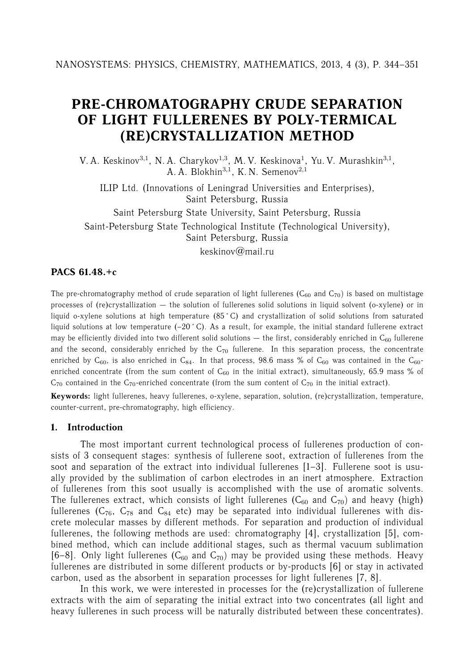# **PRE-CHROMATOGRAPHY CRUDE SEPARATION OF LIGHT FULLERENES BY POLY-TERMICAL (RE)CRYSTALLIZATION METHOD**

V. A. Keskinov<sup>3,1</sup>, N. A. Charykov<sup>1,3</sup>, M. V. Keskinova<sup>1</sup>, Yu. V. Murashkin<sup>3,1</sup>, A. A. Blokhin<sup>3</sup>*,*<sup>1</sup>, K. N. Semenov<sup>2</sup>*,*<sup>1</sup>

ILIP Ltd. (Innovations of Leningrad Universities and Enterprises), Saint Petersburg, Russia

Saint Petersburg State University, Saint Petersburg, Russia Saint-Petersburg State Technological Institute (Technological University), Saint Petersburg, Russia

keskinov $@$ mail.ru

## **PACS 61.48.+c**

The pre-chromatography method of crude separation of light fullerenes ( $C_{60}$  and  $C_{70}$ ) is based on multistage processes of (re)crystallization — the solution of fullerenes solid solutions in liquid solvent (o-xylene) or in liquid o-xylene solutions at high temperature (85 °C) and crystallization of solid solutions from saturated liquid solutions at low temperature  $(-20 \degree C)$ . As a result, for example, the initial standard fullerene extract may be efficiently divided into two different solid solutions  $-$  the first, considerably enriched in  $C_{60}$  fullerene and the second, considerably enriched by the  $C_{70}$  fullerene. In this separation process, the concentrate enriched by  $C_{60}$ , is also enriched in  $C_{84}$ . In that process, 98.6 mass % of  $C_{60}$  was contained in the  $C_{60}$ enriched concentrate (from the sum content of  $C_{60}$  in the initial extract), simultaneously, 65.9 mass % of  $C_{70}$  contained in the  $C_{70}$ -enriched concentrate (from the sum content of  $C_{70}$  in the initial extract).

**Keywords:** light fullerenes, heavy fullerenes, o-xylene, separation, solution, (re)crystallization, temperature, counter-current, pre-chromatography, high efficiency.

#### **1. Introduction**

The most important current technological process of fullerenes production of consists of 3 consequent stages: synthesis of fullerene soot, extraction of fullerenes from the soot and separation of the extract into individual fullerenes [1–3]. Fullerene soot is usually provided by the sublimation of carbon electrodes in an inert atmosphere. Extraction of fullerenes from this soot usually is accomplished with the use of aromatic solvents. The fullerenes extract, which consists of light fullerenes  $(C_{60}$  and  $C_{70}$ ) and heavy (high) fullerenes  $(C_{76}, C_{78}$  and  $C_{84}$  etc) may be separated into individual fullerenes with discrete molecular masses by different methods. For separation and production of individual fullerenes, the following methods are used: chromatography [4], crystallization [5], combined method, which can include additional stages, such as thermal vacuum sublimation [6–8]. Only light fullerenes  $(C_{60}$  and  $C_{70}$ ) may be provided using these methods. Heavy fullerenes are distributed in some different products or by-products [6] or stay in activated carbon, used as the absorbent in separation processes for light fullerenes [7, 8].

In this work, we were interested in processes for the (re)crystallization of fullerene extracts with the aim of separating the initial extract into two concentrates (all light and heavy fullerenes in such process will be naturally distributed between these concentrates).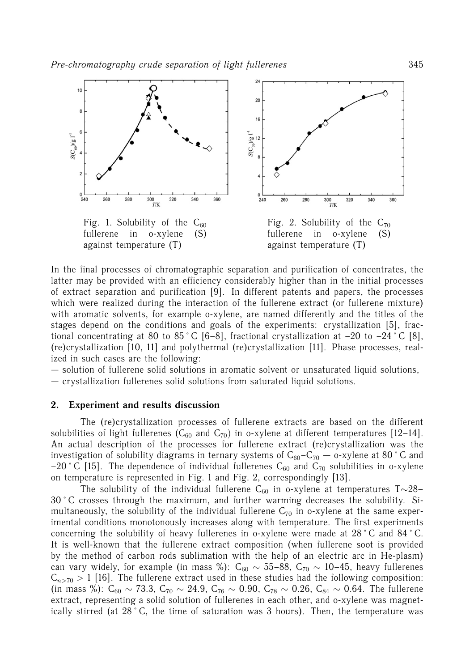

In the final processes of chromatographic separation and purification of concentrates, the latter may be provided with an efficiency considerably higher than in the initial processes of extract separation and purification [9]. In different patents and papers, the processes which were realized during the interaction of the fullerene extract (or fullerene mixture) with aromatic solvents, for example o-xylene, are named differently and the titles of the stages depend on the conditions and goals of the experiments: crystallization [5], fractional concentrating at 80 to 85 °C [6–8], fractional crystallization at –20 to –24 °C [8], (re)crystallization [10, 11] and polythermal (re)crystallization [11]. Phase processes, realized in such cases are the following:

— solution of fullerene solid solutions in aromatic solvent or unsaturated liquid solutions,

— crystallization fullerenes solid solutions from saturated liquid solutions.

#### **2. Experiment and results discussion**

The (re)crystallization processes of fullerene extracts are based on the different solubilities of light fullerenes ( $C_{60}$  and  $C_{70}$ ) in o-xylene at different temperatures [12–14]. An actual description of the processes for fullerene extract (re)crystallization was the investigation of solubility diagrams in ternary systems of  $C_{60}-C_{70}$  - o-xylene at 80°C and -20 ° C [15]. The dependence of individual fullerenes  $C_{60}$  and  $C_{70}$  solubilities in o-xylene on temperature is represented in Fig. 1 and Fig. 2, correspondingly [13].

The solubility of the individual fullerene C<sub>60</sub> in o-xylene at temperatures T∼28– 30 ˚ C crosses through the maximum, and further warming decreases the solubility. Simultaneously, the solubility of the individual fullerene  $C_{70}$  in o-xylene at the same experimental conditions monotonously increases along with temperature. The first experiments concerning the solubility of heavy fullerenes in o-xylene were made at 28 °C and 84 °C. It is well-known that the fullerene extract composition (when fullerene soot is provided by the method of carbon rods sublimation with the help of an electric arc in He-plasm) can vary widely, for example (in mass %): C<sub>60</sub>  $\sim$  55–88, C<sub>70</sub>  $\sim$  10–45, heavy fullerenes  $C_{n>70} > 1$  [16]. The fullerene extract used in these studies had the following composition: (in mass %):  $C_{60} \sim 73.3$ ,  $C_{70} \sim 24.9$ ,  $C_{76} \sim 0.90$ ,  $C_{78} \sim 0.26$ ,  $C_{84} \sim 0.64$ . The fullerene extract, representing a solid solution of fullerenes in each other, and o-xylene was magnetically stirred (at 28 °C, the time of saturation was 3 hours). Then, the temperature was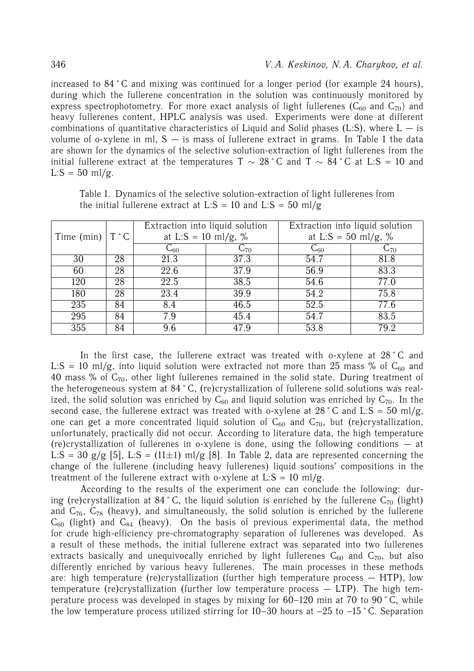increased to 84 ˚ C and mixing was continued for a longer period (for example 24 hours), during which the fullerene concentration in the solution was continuously monitored by express spectrophotometry. For more exact analysis of light fullerenes ( $C_{60}$  and  $C_{70}$ ) and heavy fullerenes content, HPLC analysis was used. Experiments were done at different combinations of quantitative characteristics of Liquid and Solid phases (L:S), where  $L - i$ s volume of o-xylene in ml,  $S - i$ s mass of fullerene extract in grams. In Table 1 the data are shown for the dynamics of the selective solution-extraction of light fullerenes from the initial fullerene extract at the temperatures T  $\sim 28$  °C and T  $\sim 84$  °C at L:S = 10 and  $L: S = 50$  ml/g.

|                         |    |                     | Extraction into liquid solution | Extraction into liquid solution |          |  |  |
|-------------------------|----|---------------------|---------------------------------|---------------------------------|----------|--|--|
| Time (min) $T^{\circ}C$ |    | at L:S = 10 ml/g, % |                                 | at L:S = 50 ml/g, %             |          |  |  |
|                         |    | $\mathrm{C}_{60}$   | $C_{70}$                        | $C_{60}$                        | $C_{70}$ |  |  |
| $\overline{30}$         | 28 | $\overline{21.3}$   | 37.3                            | 54.7                            | 81.8     |  |  |
| 60                      | 28 | $\overline{22.6}$   | 37.9                            | 56.9                            | 83.3     |  |  |
| 120                     | 28 | 22.5                | 38.5                            | 54.6                            | 77.0     |  |  |
| 180                     | 28 | 23.4                | 39.9                            | 54.2                            | 75.8     |  |  |
| 235                     | 84 | 8.4                 | 46.5                            | 52.5                            | 77.6     |  |  |
| 295                     | 84 | 7.9                 | 45.4                            | 54.7                            | 83.5     |  |  |
| 355                     | 84 | 9.6                 | 47.9                            | 53.8                            | 79.2     |  |  |

Table 1. Dynamics of the selective solution-extraction of light fullerenes from the initial fullerene extract at L:S = 10 and L:S =  $50 \text{ ml/g}$ 

In the first case, the fullerene extract was treated with o-xylene at 28 °C and L:S = 10 ml/g, into liquid solution were extracted not more than 25 mass % of  $C_{60}$  and 40 mass % of  $C_{70}$ , other light fullerenes remained in the solid state. During treatment of the heterogeneous system at 84 ˚ C, (re)crystallization of fullerene solid solutions was realized, the solid solution was enriched by  $C_{60}$  and liquid solution was enriched by  $C_{70}$ . In the second case, the fullerene extract was treated with o-xylene at 28 °C and L:S = 50 ml/g, one can get a more concentrated liquid solution of  $C_{60}$  and  $C_{70}$ , but (re)crystallization, unfortunately, practically did not occur. According to literature data, the high temperature (re)crystallization of fullerenes in o-xylene is done, using the following conditions — at L:S = 30 g/g [5], L:S = (11±1) ml/g [8]. In Table 2, data are represented concerning the change of the fullerene (including heavy fullerenes) liquid soutions' compositions in the treatment of the fullerene extract with o-xylene at L:S = 10 ml/g.

According to the results of the experiment one can conclude the following: during (re)crystallization at 84 °C, the liquid solution is enriched by the fullerene  $C_{70}$  (light) and  $C_{76}$ ,  $C_{78}$  (heavy), and simultaneously, the solid solution is enriched by the fullerene  $C_{60}$  (light) and  $C_{84}$  (heavy). On the basis of previous experimental data, the method for crude high-efficiency pre-chromatography separation of fullerenes was developed. As a result of these methods, the initial fullerene extract was separated into two fullerenes extracts basically and unequivocally enriched by light fullerenes  $C_{60}$  and  $C_{70}$ , but also differently enriched by various heavy fullerenes. The main processes in these methods are: high temperature (re)crystallization (further high temperature process  $-$  HTP), low temperature (re)crystallization (further low temperature process — LTP). The high temperature process was developed in stages by mixing for 60–120 min at 70 to 90 ˚ C, while the low temperature process utilized stirring for  $10-30$  hours at  $-25$  to  $-15$  °C. Separation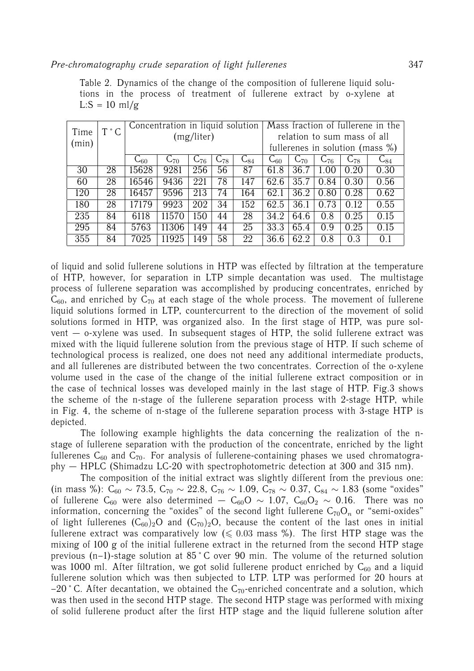|       | $T \degree C$ | Concentration in liquid solution |            | Mass fraction of fullerene in the |                 |                   |                   |                                     |                             |                   |                     |  |  |
|-------|---------------|----------------------------------|------------|-----------------------------------|-----------------|-------------------|-------------------|-------------------------------------|-----------------------------|-------------------|---------------------|--|--|
| Time  |               |                                  | (mg/liter) |                                   |                 |                   |                   |                                     | relation to sum mass of all |                   |                     |  |  |
| (min) |               |                                  |            |                                   |                 |                   |                   | fullerenes in solution (mass $\%$ ) |                             |                   |                     |  |  |
|       |               | $C_{60}$                         | $C_{70}$   | $C_{76}$                          | $C_{78}$        | $\mathrm{C}_{84}$ | $\mathrm{C}_{60}$ | $C_{70}$                            | $\mathsf{C}_{76}$           | $\mathsf{C}_{78}$ | $\text{\rm C}_{84}$ |  |  |
| 30    | 28            | 15628                            | 9281       | 256                               | 56              | 87                | 61.8              | 36.7                                | 1.00                        | 0.20              | 0.30                |  |  |
| 60    | 28            | 16546                            | 9436       | 221                               | 78              | 147               | 62.6              | 35.7                                | 0.84                        | 0.30              | 0.56                |  |  |
| 120   | 28            | 16457                            | 9596       | 213                               | 74              | 164               | 62.1              | 36.2                                | 0.80                        | 0.28              | 0.62                |  |  |
| 180   | 28            | 17179                            | 9923       | 202                               | 34              | 152               | 62.5              | 36.1                                | 0.73                        | 0.12              | 0.55                |  |  |
| 235   | 84            | 6118                             | 11570      | 150                               | 44              | 28                | 34.2              | 64.6                                | 0.8                         | 0.25              | 0.15                |  |  |
| 295   | 84            | 5763                             | 11306      | 149                               | 44              | 25                | 33.3              | 65.4                                | 0.9                         | 0.25              | 0.15                |  |  |
| 355   | 84            | 7025                             | 11925      | 49                                | $\overline{58}$ | 22                | 36.6              | 62.2                                | 0.8                         | 0.3               | 0.1                 |  |  |

of liquid and solid fullerene solutions in HTP was effected by filtration at the temperature of HTP, however, for separation in LTP simple decantation was used. The multistage process of fullerene separation was accomplished by producing concentrates, enriched by  $C_{60}$ , and enriched by  $C_{70}$  at each stage of the whole process. The movement of fullerene liquid solutions formed in LTP, countercurrent to the direction of the movement of solid solutions formed in HTP, was organized also. In the first stage of HTP, was pure solvent  $-$  o-xylene was used. In subsequent stages of HTP, the solid fullerene extract was mixed with the liquid fullerene solution from the previous stage of HTP. If such scheme of technological process is realized, one does not need any additional intermediate products, and all fullerenes are distributed between the two concentrates. Correction of the o-xylene volume used in the case of the change of the initial fullerene extract composition or in the case of technical losses was developed mainly in the last stage of HTP. Fig.3 shows the scheme of the n-stage of the fullerene separation process with 2-stage HTP, while in Fig. 4, the scheme of n-stage of the fullerene separation process with 3-stage HTP is depicted.

The following example highlights the data concerning the realization of the nstage of fullerene separation with the production of the concentrate, enriched by the light fullerenes  $C_{60}$  and  $C_{70}$ . For analysis of fullerene-containing phases we used chromatography — HPLC (Shimadzu LC-20 with spectrophotometric detection at 300 and 315 nm).

The composition of the initial extract was slightly different from the previous one: (in mass %):  $C_{60} \sim 73.5$ ,  $C_{70} \sim 22.8$ ,  $C_{76} \sim 1.09$ ,  $C_{78} \sim 0.37$ ,  $C_{84} \sim 1.83$  (some "oxides" of fullerene C<sub>60</sub> were also determined — C<sub>60</sub>O ~ 1.07, C<sub>60</sub>O<sub>2</sub> ~ 0.16. There was no information, concerning the "oxides" of the second light fullerene  $C_{70}O_n$  or "semi-oxides" of light fullerenes  $(C_{60})_2O$  and  $(C_{70})_2O$ , because the content of the last ones in initial fullerene extract was comparatively low ( $\leqslant$  0.03 mass %). The first HTP stage was the mixing of 100 g of the initial fullerene extract in the returned from the second HTP stage previous (n–1)-stage solution at 85 ˚ C over 90 min. The volume of the returned solution was 1000 ml. After filtration, we got solid fullerene product enriched by  $C_{60}$  and a liquid fullerene solution which was then subjected to LTP. LTP was performed for 20 hours at  $-20$  ° C. After decantation, we obtained the C<sub>70</sub>-enriched concentrate and a solution, which was then used in the second HTP stage. The second HTP stage was performed with mixing of solid fullerene product after the first HTP stage and the liquid fullerene solution after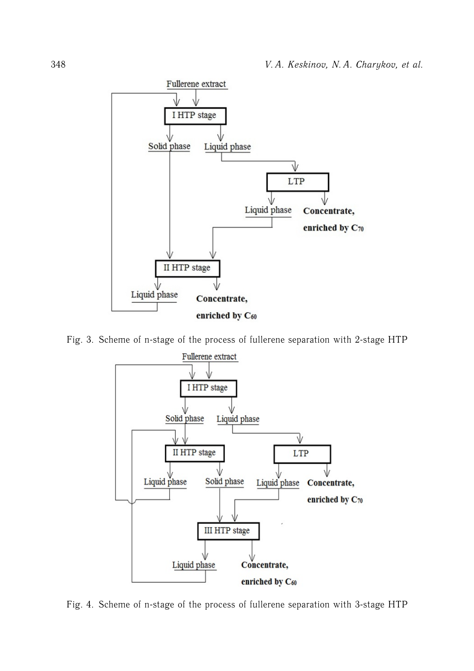

Fig. 3. Scheme of n-stage of the process of fullerene separation with 2-stage HTP



Fig. 4. Scheme of n-stage of the process of fullerene separation with 3-stage HTP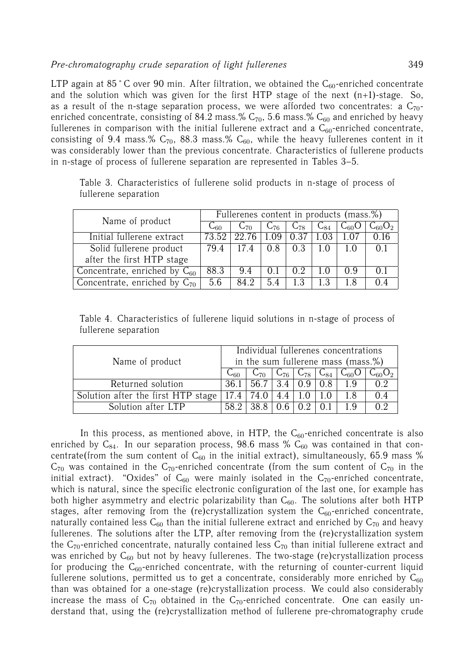LTP again at 85 °C over 90 min. After filtration, we obtained the  $C_{60}$ -enriched concentrate and the solution which was given for the first HTP stage of the next  $(n+1)$ -stage. So, as a result of the n-stage separation process, we were afforded two concentrates: a  $C_{70}$ enriched concentrate, consisting of 84.2 mass.%  $C_{70}$ , 5.6 mass.%  $C_{60}$  and enriched by heavy fullerenes in comparison with the initial fullerene extract and a  $C_{60}$ -enriched concentrate, consisting of 9.4 mass.%  $C_{70}$ , 88.3 mass.%  $C_{60}$ , while the heavy fullerenes content in it was considerably lower than the previous concentrate. Characteristics of fullerene products in n-stage of process of fullerene separation are represented in Tables 3–5.

|                                   | Fullerenes content in products (mass.%) |               |          |          |                |           |                               |  |
|-----------------------------------|-----------------------------------------|---------------|----------|----------|----------------|-----------|-------------------------------|--|
| Name of product                   | 660                                     | $C_{70}$      | $C_{76}$ | $C_{78}$ | $C_{84}$       | $C_{60}O$ | $\mathsf{C}_{60}\mathsf{O}_2$ |  |
| Initial fullerene extract         |                                         | 73.52   22.76 | 1.09     | 0.37     |                |           |                               |  |
| Solid fullerene product           | 79.4                                    | 17.4          | 0.8      | 0.3      |                | 10        | ()                            |  |
| after the first HTP stage         |                                         |               |          |          |                |           |                               |  |
| Concentrate, enriched by $C_{60}$ | 88.3                                    | 9.4           | 0.1      | 02       | 1 <sub>0</sub> | 09        | $()$ 1                        |  |
| Concentrate, enriched by $C_{70}$ | 5.6                                     | 84 2          | 5.4      | 13       | 13             | 1.8       | ()4                           |  |

Table 3. Characteristics of fullerene solid products in n-stage of process of fullerene separation

Table 4. Characteristics of fullerene liquid solutions in n-stage of process of fullerene separation

| Name of product                    |                  | Individual fullerenes concentrations |  |               |     |                                                        |             |  |
|------------------------------------|------------------|--------------------------------------|--|---------------|-----|--------------------------------------------------------|-------------|--|
|                                    |                  | in the sum fullerene mass (mass.%)   |  |               |     |                                                        |             |  |
|                                    | $\cup$ 60 $\cup$ |                                      |  |               |     | $C_{70}$   $C_{76}$   $C_{78}$   $C_{84}$   $C_{60}$ O | $C_{60}O_2$ |  |
| Returned solution                  |                  | $\overline{36.1}$ 56.7   3.4   0.9   |  |               | 0.8 | 19                                                     |             |  |
| Solution after the first HTP stage |                  | $17.4$ 74.0                          |  | $4.4$   1.0   | 1.0 | 1.8                                                    |             |  |
| Solution after LTP                 |                  | 38.8 l<br>58.2                       |  | $0.6 \pm 0.2$ | 0.1 | 1 Q                                                    |             |  |

In this process, as mentioned above, in HTP, the  $C_{60}$ -enriched concentrate is also enriched by  $C_{84}$ . In our separation process, 98.6 mass %  $C_{60}$  was contained in that concentrate(from the sum content of  $C_{60}$  in the initial extract), simultaneously, 65.9 mass %  $C_{70}$  was contained in the  $C_{70}$ -enriched concentrate (from the sum content of  $C_{70}$  in the initial extract). "Oxides" of  $C_{60}$  were mainly isolated in the  $C_{70}$ -enriched concentrate, which is natural, since the specific electronic configuration of the last one, for example has both higher asymmetry and electric polarizability than  $C_{60}$ . The solutions after both HTP stages, after removing from the (re)crystallization system the  $C_{60}$ -enriched concentrate, naturally contained less  $C_{60}$  than the initial fullerene extract and enriched by  $C_{70}$  and heavy fullerenes. The solutions after the LTP, after removing from the (re)crystallization system the  $C_{70}$ -enriched concentrate, naturally contained less  $C_{70}$  than initial fullerene extract and was enriched by  $C_{60}$  but not by heavy fullerenes. The two-stage (re)crystallization process for producing the  $C_{60}$ -enriched concentrate, with the returning of counter-current liquid fullerene solutions, permitted us to get a concentrate, considerably more enriched by  $C_{60}$ than was obtained for a one-stage (re)crystallization process. We could also considerably increase the mass of  $C_{70}$  obtained in the  $C_{70}$ -enriched concentrate. One can easily understand that, using the (re)crystallization method of fullerene pre-chromatography crude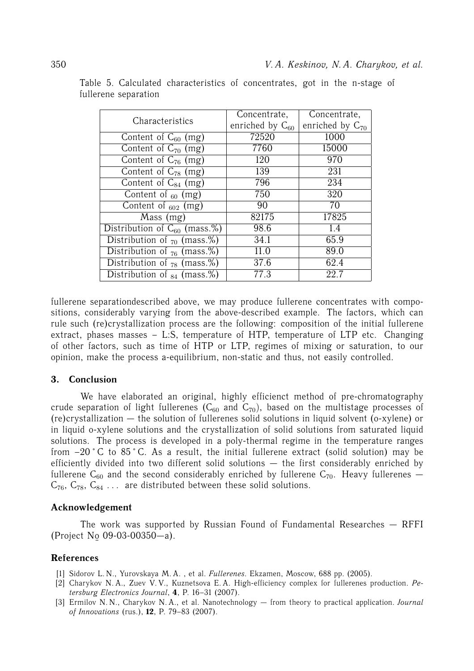|                                         | Concentrate,         | Concentrate,         |  |  |
|-----------------------------------------|----------------------|----------------------|--|--|
| Characteristics                         | enriched by $C_{60}$ | enriched by $C_{70}$ |  |  |
| Content of $C_{60}$ (mg)                | 72520                | 1000                 |  |  |
| Content of $C_{70}$ (mg)                | 7760                 | 15000                |  |  |
| Content of $C_{76}$ (mg)                | 120                  | 970                  |  |  |
| Content of $C_{78}$ (mg)                | 139                  | 231                  |  |  |
| Content of $C_{84}$ (mg)                | 796                  | 234                  |  |  |
| Content of $_{60}$ (mg)                 | 750                  | 320                  |  |  |
| Content of $_{602}$ (mg)                | 90                   | 70                   |  |  |
| Mass (mg)                               | 82175                | 17825                |  |  |
| Distribution of $\bar{C}_{60}$ (mass.%) | 98.6                 | 1.4                  |  |  |
| Distribution of $_{70}$ (mass.%)        | 34.1                 | 65.9                 |  |  |
| Distribution of $_{76}$ (mass.%)        | 11.0                 | 89.0                 |  |  |
| Distribution of $_{78}$ (mass.%)        | 37.6                 | 62.4                 |  |  |
| Distribution of $_{84}$ (mass.%)        | 77.3                 | 22.7                 |  |  |

Table 5. Calculated characteristics of concentrates, got in the n-stage of fullerene separation

fullerene separationdescribed above, we may produce fullerene concentrates with compositions, considerably varying from the above-described example. The factors, which can rule such (re)crystallization process are the following: composition of the initial fullerene extract, phases masses – L:S, temperature of HTP, temperature of LTP etc. Changing of other factors, such as time of HTP or LTP, regimes of mixing or saturation, to our opinion, make the process a-equilibrium, non-static and thus, not easily controlled.

# **3. Conclusion**

We have elaborated an original, highly efficienct method of pre-chromatography crude separation of light fullerenes  $(C_{60}$  and  $C_{70}$ ), based on the multistage processes of (re)crystallization — the solution of fullerenes solid solutions in liquid solvent (o-xylene) or in liquid o-xylene solutions and the crystallization of solid solutions from saturated liquid solutions. The process is developed in a poly-thermal regime in the temperature ranges from  $-20$  °C to  $85$  °C. As a result, the initial fullerene extract (solid solution) may be efficiently divided into two different solid solutions — the first considerably enriched by fullerene  $C_{60}$  and the second considerably enriched by fullerene  $C_{70}$ . Heavy fullerenes –  $C_{76}$ ,  $C_{78}$ ,  $C_{84}$  ... are distributed between these solid solutions.

#### **Acknowledgement**

The work was supported by Russian Found of Fundamental Researches — RFFI (Project No¯ 09-03-00350—a).

## **References**

- [1] Sidorov L. N., Yurovskaya M. A. , et al. *Fullerenes*. Ekzamen, Moscow, 688 pp. (2005).
- [2] Charykov N. A., Zuev V. V., Kuznetsova E. A. High-efficiency complex for fullerenes production. *Petersburg Electronics Journal*, **4**, P. 16–31 (2007).
- [3] Ermilov N. N., Charykov N. A., et al. Nanotechnology from theory to practical application. *Journal of Innovations* (rus.), **12**, P. 79–83 (2007).